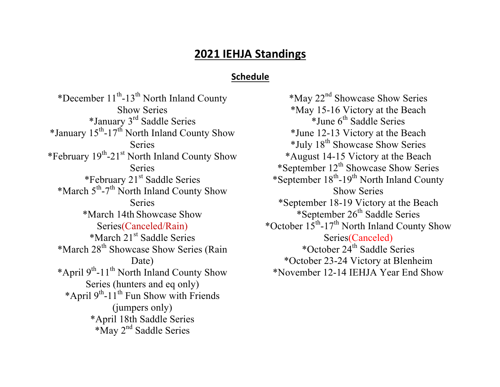# **2021 IEHJA Standings**

## **Schedule**

\*December  $11^{th}$ -13<sup>th</sup> North Inland County Show Series \*January 3rd Saddle Series \*January  $15^{th}$ -17<sup>th</sup> North Inland County Show **Series** \*February 19th-21st North Inland County Show Series \*February  $21<sup>st</sup>$  Saddle Series \*March 5th-7th North Inland County Show Series \*March 14th Showcase Show Series(Canceled/Rain) \*March 21<sup>st</sup> Saddle Series \*March 28<sup>th</sup> Showcase Show Series (Rain Date) \*April 9th-11th North Inland County Show Series (hunters and eq only) \*April  $9<sup>th</sup>$ -11<sup>th</sup> Fun Show with Friends (jumpers only) \*April 18th Saddle Series \*May 2<sup>nd</sup> Saddle Series

\*May 22nd Showcase Show Series \*May 15-16 Victory at the Beach  $*$ June  $6<sup>th</sup>$  Saddle Series \*June 12-13 Victory at the Beach  $*$ July 18<sup>th</sup> Showcase Show Series \*August 14-15 Victory at the Beach \*September  $12<sup>th</sup>$  Showcase Show Series \*September  $18^{th}$ -19<sup>th</sup> North Inland County Show Series \*September 18-19 Victory at the Beach \*September  $26<sup>th</sup>$  Saddle Series \*October  $15^{th}$ -17<sup>th</sup> North Inland County Show Series(Canceled) \*October  $24<sup>th</sup>$  Saddle Series \*October 23-24 Victory at Blenheim \*November 12-14 IEHJA Year End Show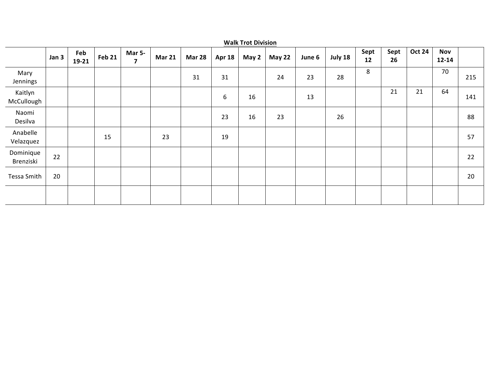|                        | <b>Walk Trot Division</b> |                |               |                                          |               |               |               |       |               |        |         |            |            |               |                         |     |
|------------------------|---------------------------|----------------|---------------|------------------------------------------|---------------|---------------|---------------|-------|---------------|--------|---------|------------|------------|---------------|-------------------------|-----|
|                        | Jan 3                     | Feb<br>$19-21$ | <b>Feb 21</b> | <b>Mar 5-</b><br>$\overline{\mathbf{z}}$ | <b>Mar 21</b> | <b>Mar 28</b> | <b>Apr 18</b> | May 2 | <b>May 22</b> | June 6 | July 18 | Sept<br>12 | Sept<br>26 | <b>Oct 24</b> | <b>Nov</b><br>$12 - 14$ |     |
| Mary<br>Jennings       |                           |                |               |                                          |               | 31            | 31            |       | 24            | 23     | 28      | 8          |            |               | 70                      | 215 |
| Kaitlyn<br>McCullough  |                           |                |               |                                          |               |               | 6             | 16    |               | 13     |         |            | 21         | 21            | 64                      | 141 |
| Naomi<br>Desilva       |                           |                |               |                                          |               |               | 23            | 16    | 23            |        | 26      |            |            |               |                         | 88  |
| Anabelle<br>Velazquez  |                           |                | 15            |                                          | 23            |               | 19            |       |               |        |         |            |            |               |                         | 57  |
| Dominique<br>Brenziski | 22                        |                |               |                                          |               |               |               |       |               |        |         |            |            |               |                         | 22  |
| Tessa Smith            | 20                        |                |               |                                          |               |               |               |       |               |        |         |            |            |               |                         | 20  |
|                        |                           |                |               |                                          |               |               |               |       |               |        |         |            |            |               |                         |     |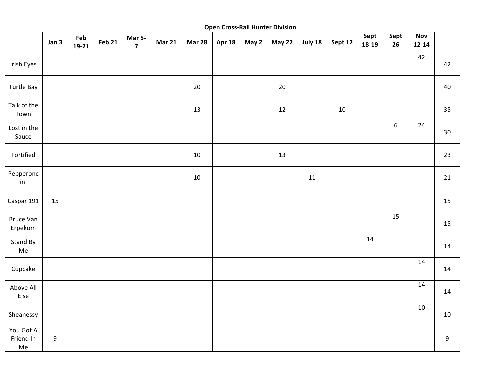**Open Cross-Rail Hunter Division** 

|                                      | Jan 3 | Feb<br>$19-21$ | <b>Feb 21</b> | Mar 5-<br>$\overline{\mathbf{z}}$ | <b>Mar 21</b> | <b>Mar 28</b> | Apr 18 | May 2 | May 22 | July 18 | Sept 12 | Sept<br>18-19 | Sept<br>26       | <b>Nov</b><br>$12 - 14$ |             |
|--------------------------------------|-------|----------------|---------------|-----------------------------------|---------------|---------------|--------|-------|--------|---------|---------|---------------|------------------|-------------------------|-------------|
| <b>Irish Eyes</b>                    |       |                |               |                                   |               |               |        |       |        |         |         |               |                  | 42                      | 42          |
| <b>Turtle Bay</b>                    |       |                |               |                                   |               | $20\,$        |        |       | 20     |         |         |               |                  |                         | 40          |
| Talk of the<br>Town                  |       |                |               |                                   |               | 13            |        |       | 12     |         | 10      |               |                  |                         | 35          |
| Lost in the<br>Sauce                 |       |                |               |                                   |               |               |        |       |        |         |         |               | $\boldsymbol{6}$ | $\overline{24}$         | $30\,$      |
| Fortified                            |       |                |               |                                   |               | $10\,$        |        |       | 13     |         |         |               |                  |                         | 23          |
| Pepperonc<br>ini                     |       |                |               |                                   |               | $10\,$        |        |       |        | 11      |         |               |                  |                         | 21          |
| Caspar 191                           | 15    |                |               |                                   |               |               |        |       |        |         |         |               |                  |                         | 15          |
| <b>Bruce Van</b><br>Erpekom          |       |                |               |                                   |               |               |        |       |        |         |         |               | 15               |                         | 15          |
| Stand By<br>Me                       |       |                |               |                                   |               |               |        |       |        |         |         | 14            |                  |                         | 14          |
| Cupcake                              |       |                |               |                                   |               |               |        |       |        |         |         |               |                  | $\overline{14}$         | 14          |
| Above All<br>Else                    |       |                |               |                                   |               |               |        |       |        |         |         |               |                  | $14$                    | 14          |
| Sheanessy                            |       |                |               |                                   |               |               |        |       |        |         |         |               |                  | 10                      | 10          |
| You Got A<br>Friend In<br>${\sf Me}$ | 9     |                |               |                                   |               |               |        |       |        |         |         |               |                  |                         | $\mathsf g$ |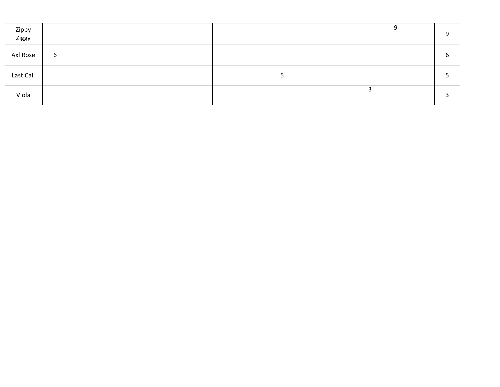| Zippy<br>Ziggy |   |  |  |  |  |  |   | q |  |
|----------------|---|--|--|--|--|--|---|---|--|
| Axl Rose       | 6 |  |  |  |  |  |   |   |  |
| Last Call      |   |  |  |  |  |  |   |   |  |
| Viola          |   |  |  |  |  |  | 3 |   |  |

J.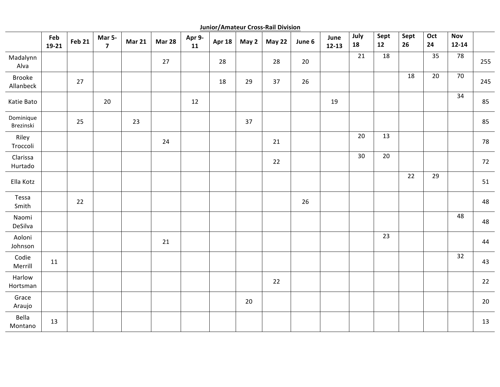**Junior/Amateur Cross-Rail Division**

|                        | Feb<br>$19-21$ | <b>Feb 21</b> | Mar 5-<br>$\overline{7}$ | <b>Mar 21</b> | <b>Mar 28</b> | Apr 9-<br>11 | <b>Apr 18</b> | May 2 | May 22 | June 6 | June<br>$12 - 13$ | July<br>18 | Sept<br>12 | Sept<br>26 | Oct<br>24 | <b>Nov</b><br>$12 - 14$ |        |
|------------------------|----------------|---------------|--------------------------|---------------|---------------|--------------|---------------|-------|--------|--------|-------------------|------------|------------|------------|-----------|-------------------------|--------|
| Madalynn<br>Alva       |                |               |                          |               | 27            |              | 28            |       | 28     | 20     |                   | 21         | 18         |            | 35        | 78                      | 255    |
| Brooke<br>Allanbeck    |                | 27            |                          |               |               |              | 18            | 29    | 37     | 26     |                   |            |            | 18         | 20        | 70                      | 245    |
| Katie Bato             |                |               | $20\,$                   |               |               | 12           |               |       |        |        | 19                |            |            |            |           | 34                      | 85     |
| Dominique<br>Brezinski |                | 25            |                          | 23            |               |              |               | 37    |        |        |                   |            |            |            |           |                         | 85     |
| Riley<br>Troccoli      |                |               |                          |               | 24            |              |               |       | 21     |        |                   | 20         | 13         |            |           |                         | 78     |
| Clarissa<br>Hurtado    |                |               |                          |               |               |              |               |       | 22     |        |                   | 30         | 20         |            |           |                         | 72     |
| Ella Kotz              |                |               |                          |               |               |              |               |       |        |        |                   |            |            | 22         | 29        |                         | 51     |
| Tessa<br>Smith         |                | 22            |                          |               |               |              |               |       |        | 26     |                   |            |            |            |           |                         | 48     |
| Naomi<br>DeSilva       |                |               |                          |               |               |              |               |       |        |        |                   |            |            |            |           | 48                      | 48     |
| Aoloni<br>Johnson      |                |               |                          |               | 21            |              |               |       |        |        |                   |            | 23         |            |           |                         | 44     |
| Codie<br>Merrill       | 11             |               |                          |               |               |              |               |       |        |        |                   |            |            |            |           | 32                      | 43     |
| Harlow<br>Hortsman     |                |               |                          |               |               |              |               |       | 22     |        |                   |            |            |            |           |                         | 22     |
| Grace<br>Araujo        |                |               |                          |               |               |              |               | 20    |        |        |                   |            |            |            |           |                         | $20\,$ |
| Bella<br>Montano       | 13             |               |                          |               |               |              |               |       |        |        |                   |            |            |            |           |                         | 13     |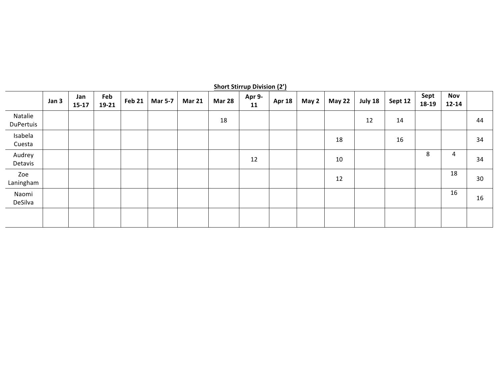|                      | <b>Short Stirrup Division (2')</b> |                |              |        |                |               |               |              |               |       |               |         |         |               |                         |    |
|----------------------|------------------------------------|----------------|--------------|--------|----------------|---------------|---------------|--------------|---------------|-------|---------------|---------|---------|---------------|-------------------------|----|
|                      | Jan 3                              | Jan<br>$15-17$ | Feb<br>19-21 | Feb 21 | <b>Mar 5-7</b> | <b>Mar 21</b> | <b>Mar 28</b> | Apr 9-<br>11 | <b>Apr 18</b> | May 2 | <b>May 22</b> | July 18 | Sept 12 | Sept<br>18-19 | <b>Nov</b><br>$12 - 14$ |    |
| Natalie<br>DuPertuis |                                    |                |              |        |                |               | 18            |              |               |       |               | 12      | 14      |               |                         | 44 |
| Isabela<br>Cuesta    |                                    |                |              |        |                |               |               |              |               |       | 18            |         | 16      |               |                         | 34 |
| Audrey<br>Detavis    |                                    |                |              |        |                |               |               | 12           |               |       | 10            |         |         | 8             | 4                       | 34 |
| Zoe<br>Laningham     |                                    |                |              |        |                |               |               |              |               |       | 12            |         |         |               | 18                      | 30 |
| Naomi<br>DeSilva     |                                    |                |              |        |                |               |               |              |               |       |               |         |         |               | 16                      | 16 |
|                      |                                    |                |              |        |                |               |               |              |               |       |               |         |         |               |                         |    |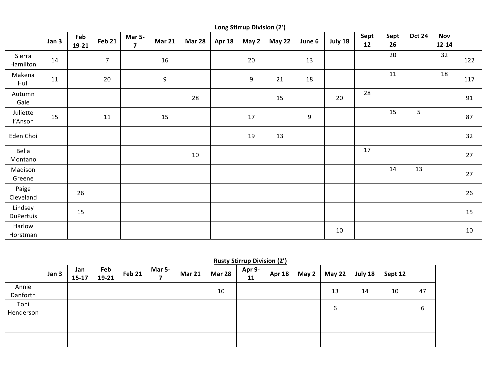|                      | <b>Long Stirrup Division (2')</b> |              |                |                                          |               |               |               |       |               |        |         |            |            |                |                         |     |
|----------------------|-----------------------------------|--------------|----------------|------------------------------------------|---------------|---------------|---------------|-------|---------------|--------|---------|------------|------------|----------------|-------------------------|-----|
|                      | Jan 3                             | Feb<br>19-21 | <b>Feb 21</b>  | <b>Mar 5-</b><br>$\overline{\mathbf{z}}$ | <b>Mar 21</b> | <b>Mar 28</b> | <b>Apr 18</b> | May 2 | <b>May 22</b> | June 6 | July 18 | Sept<br>12 | Sept<br>26 | <b>Oct 24</b>  | <b>Nov</b><br>$12 - 14$ |     |
| Sierra<br>Hamilton   | 14                                |              | $\overline{7}$ |                                          | 16            |               |               | 20    |               | 13     |         |            | 20         |                | 32                      | 122 |
| Makena<br>Hull       | 11                                |              | 20             |                                          | 9             |               |               | 9     | 21            | 18     |         |            | 11         |                | 18                      | 117 |
| Autumn<br>Gale       |                                   |              |                |                                          |               | 28            |               |       | 15            |        | 20      | 28         |            |                |                         | 91  |
| Juliette<br>l'Anson  | 15                                |              | 11             |                                          | 15            |               |               | 17    |               | 9      |         |            | 15         | 5 <sub>o</sub> |                         | 87  |
| Eden Choi            |                                   |              |                |                                          |               |               |               | 19    | 13            |        |         |            |            |                |                         | 32  |
| Bella<br>Montano     |                                   |              |                |                                          |               | 10            |               |       |               |        |         | 17         |            |                |                         | 27  |
| Madison<br>Greene    |                                   |              |                |                                          |               |               |               |       |               |        |         |            | 14         | 13             |                         | 27  |
| Paige<br>Cleveland   |                                   | 26           |                |                                          |               |               |               |       |               |        |         |            |            |                |                         | 26  |
| Lindsey<br>DuPertuis |                                   | 15           |                |                                          |               |               |               |       |               |        |         |            |            |                |                         | 15  |
| Harlow<br>Horstman   |                                   |              |                |                                          |               |               |               |       |               |        | 10      |            |            |                |                         | 10  |

## **Rusty Stirrup Division (2')**

|           | Jan 3 | Jan<br>$15 - 17$ | Feb<br>19-21 | <b>Feb 21</b> | <b>Mar 5-</b> | <b>Mar 21</b> | <b>Mar 28</b> | Apr 9-<br>11 | <b>Apr 18</b> | May 2 $\vert$ | May 22 $ $ | July 18 | Sept 12 |    |
|-----------|-------|------------------|--------------|---------------|---------------|---------------|---------------|--------------|---------------|---------------|------------|---------|---------|----|
| Annie     |       |                  |              |               |               |               | 10            |              |               |               | 13         | 14      | 10      | 47 |
| Danforth  |       |                  |              |               |               |               |               |              |               |               |            |         |         |    |
| Toni      |       |                  |              |               |               |               |               |              |               |               |            |         |         |    |
| Henderson |       |                  |              |               |               |               |               |              |               |               | b          |         |         | b  |
|           |       |                  |              |               |               |               |               |              |               |               |            |         |         |    |
|           |       |                  |              |               |               |               |               |              |               |               |            |         |         |    |
|           |       |                  |              |               |               |               |               |              |               |               |            |         |         |    |
|           |       |                  |              |               |               |               |               |              |               |               |            |         |         |    |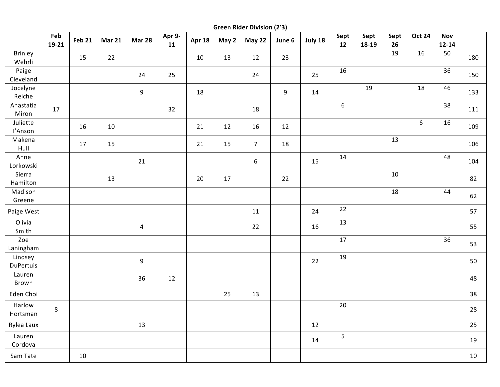**Green Rider Division (2'3)** 

|                             | Feb<br>19-21 | <b>Feb 21</b> | <b>Mar 21</b> | <b>Mar 28</b>  | Apr 9-<br>11 | Apr 18 | May 2  | <b>May 22</b>    | June 6           | July 18 | Sept<br>12 | Sept<br>18-19 | Sept<br>26 | <b>Oct 24</b> | Nov<br>$12 - 14$ |        |
|-----------------------------|--------------|---------------|---------------|----------------|--------------|--------|--------|------------------|------------------|---------|------------|---------------|------------|---------------|------------------|--------|
| <b>Brinley</b><br>Wehrli    |              | 15            | 22            |                |              | $10\,$ | 13     | 12               | 23               |         |            |               | 19         | 16            | 50               | 180    |
| Paige<br>Cleveland          |              |               |               | 24             | 25           |        |        | 24               |                  | 25      | 16         |               |            |               | 36               | 150    |
| Jocelyne<br>Reiche          |              |               |               | 9              |              | 18     |        |                  | $\boldsymbol{9}$ | 14      |            | 19            |            | 18            | 46               | 133    |
| Anastatia<br>Miron          | 17           |               |               |                | 32           |        |        | 18               |                  |         | 6          |               |            |               | 38               | 111    |
| Juliette<br>l'Anson         |              | 16            | 10            |                |              | 21     | 12     | 16               | 12               |         |            |               |            | $6\,$         | 16               | 109    |
| Makena<br>Hull              |              | $17\,$        | 15            |                |              | 21     | 15     | $\overline{7}$   | 18               |         |            |               | 13         |               |                  | 106    |
| Anne<br>Lorkowski           |              |               |               | 21             |              |        |        | $\boldsymbol{6}$ |                  | 15      | 14         |               |            |               | 48               | 104    |
| Sierra<br>Hamilton          |              |               | 13            |                |              | $20\,$ | $17\,$ |                  | 22               |         |            |               | 10         |               |                  | 82     |
| Madison<br>Greene           |              |               |               |                |              |        |        |                  |                  |         |            |               | 18         |               | 44               | 62     |
| Paige West                  |              |               |               |                |              |        |        | 11               |                  | 24      | 22         |               |            |               |                  | 57     |
| Olivia<br>Smith             |              |               |               | $\overline{4}$ |              |        |        | 22               |                  | 16      | 13         |               |            |               |                  | 55     |
| Zoe<br>Laningham            |              |               |               |                |              |        |        |                  |                  |         | 17         |               |            |               | 36               | 53     |
| Lindsey<br><b>DuPertuis</b> |              |               |               | 9              |              |        |        |                  |                  | 22      | 19         |               |            |               |                  | 50     |
| Lauren<br>Brown             |              |               |               | 36             | 12           |        |        |                  |                  |         |            |               |            |               |                  | 48     |
| Eden Choi                   |              |               |               |                |              |        | 25     | 13               |                  |         |            |               |            |               |                  | 38     |
| Harlow<br>Hortsman          | 8            |               |               |                |              |        |        |                  |                  |         | $20\,$     |               |            |               |                  | 28     |
| Rylea Laux                  |              |               |               | 13             |              |        |        |                  |                  | 12      |            |               |            |               |                  | 25     |
| Lauren<br>Cordova           |              |               |               |                |              |        |        |                  |                  | 14      | 5          |               |            |               |                  | 19     |
| Sam Tate                    |              | $10\,$        |               |                |              |        |        |                  |                  |         |            |               |            |               |                  | $10\,$ |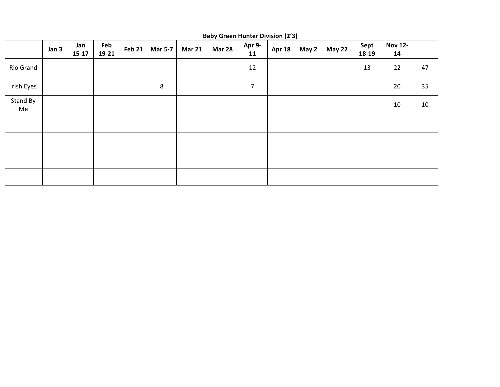|                | Jan 3 | Jan<br>$15-17$ | Feb<br>19-21 | <b>Feb 21</b> | Mar 5-7 | <b>Mar 21</b> | <u>Le al indictional proponent de divi</u><br><b>Mar 28</b> | Apr 9-<br>11   | <b>Apr 18</b> | May 2 | May 22 | Sept<br>18-19 | <b>Nov 12-</b><br>14 |    |
|----------------|-------|----------------|--------------|---------------|---------|---------------|-------------------------------------------------------------|----------------|---------------|-------|--------|---------------|----------------------|----|
| Rio Grand      |       |                |              |               |         |               |                                                             | 12             |               |       |        | 13            | 22                   | 47 |
| Irish Eyes     |       |                |              |               | 8       |               |                                                             | $\overline{7}$ |               |       |        |               | 20                   | 35 |
| Stand By<br>Me |       |                |              |               |         |               |                                                             |                |               |       |        |               | $10\,$               | 10 |
|                |       |                |              |               |         |               |                                                             |                |               |       |        |               |                      |    |
|                |       |                |              |               |         |               |                                                             |                |               |       |        |               |                      |    |
|                |       |                |              |               |         |               |                                                             |                |               |       |        |               |                      |    |
|                |       |                |              |               |         |               |                                                             |                |               |       |        |               |                      |    |

**Baby Green Hunter Division (2'3)**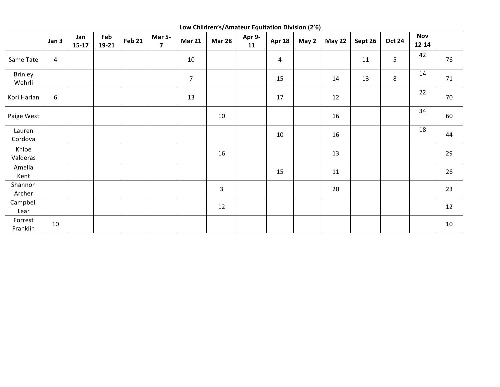**Low Children's/Amateur Equitation Division (2'6)** 

|                     | Jan 3            | Jan<br>$15-17$ | Feb<br>19-21 | <b>Feb 21</b> | Mar 5-<br>$\overline{\mathbf{z}}$ | <b>Mar 21</b>  | <b>Mar 28</b>           | Apr 9-<br>11 | <b>Apr 18</b>  | May 2 | <b>May 22</b> | Sept 26 | <b>Oct 24</b> | <b>Nov</b><br>$12 - 14$ |    |
|---------------------|------------------|----------------|--------------|---------------|-----------------------------------|----------------|-------------------------|--------------|----------------|-------|---------------|---------|---------------|-------------------------|----|
| Same Tate           | 4                |                |              |               |                                   | $10\,$         |                         |              | $\overline{4}$ |       |               | 11      | 5             | 42                      | 76 |
| Brinley<br>Wehrli   |                  |                |              |               |                                   | $\overline{7}$ |                         |              | 15             |       | 14            | 13      | 8             | 14                      | 71 |
| Kori Harlan         | $\boldsymbol{6}$ |                |              |               |                                   | 13             |                         |              | 17             |       | 12            |         |               | 22                      | 70 |
| Paige West          |                  |                |              |               |                                   |                | 10                      |              |                |       | 16            |         |               | 34                      | 60 |
| Lauren<br>Cordova   |                  |                |              |               |                                   |                |                         |              | 10             |       | 16            |         |               | 18                      | 44 |
| Khloe<br>Valderas   |                  |                |              |               |                                   |                | 16                      |              |                |       | 13            |         |               |                         | 29 |
| Amelia<br>Kent      |                  |                |              |               |                                   |                |                         |              | 15             |       | $11\,$        |         |               |                         | 26 |
| Shannon<br>Archer   |                  |                |              |               |                                   |                | $\overline{\mathbf{3}}$ |              |                |       | 20            |         |               |                         | 23 |
| Campbell<br>Lear    |                  |                |              |               |                                   |                | 12                      |              |                |       |               |         |               |                         | 12 |
| Forrest<br>Franklin | $10\,$           |                |              |               |                                   |                |                         |              |                |       |               |         |               |                         | 10 |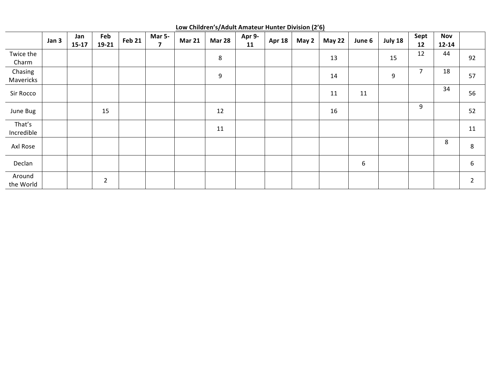|                      | Jan 3 | Jan<br>$15-17$ | Feb<br>19-21   | <b>Feb 21</b> | <b>Mar 5-</b><br>7 | <b>Mar 21</b> | <b>Mar 28</b> | Apr 9-<br>11 | <b>Apr 18</b> | May 2 | <b>May 22</b> | June 6 | July 18 | Sept<br>12     | Nov<br>$12 - 14$ |                |
|----------------------|-------|----------------|----------------|---------------|--------------------|---------------|---------------|--------------|---------------|-------|---------------|--------|---------|----------------|------------------|----------------|
| Twice the<br>Charm   |       |                |                |               |                    |               | 8             |              |               |       | 13            |        | 15      | 12             | 44               | 92             |
| Chasing<br>Mavericks |       |                |                |               |                    |               | 9             |              |               |       | 14            |        | 9       | $\overline{7}$ | 18               | 57             |
| Sir Rocco            |       |                |                |               |                    |               |               |              |               |       | 11            | 11     |         |                | 34               | 56             |
| June Bug             |       |                | 15             |               |                    |               | 12            |              |               |       | 16            |        |         | 9              |                  | 52             |
| That's<br>Incredible |       |                |                |               |                    |               | 11            |              |               |       |               |        |         |                |                  | 11             |
| Axl Rose             |       |                |                |               |                    |               |               |              |               |       |               |        |         |                | 8                | 8              |
| Declan               |       |                |                |               |                    |               |               |              |               |       |               | 6      |         |                |                  | 6              |
| Around<br>the World  |       |                | $\overline{2}$ |               |                    |               |               |              |               |       |               |        |         |                |                  | $\overline{2}$ |

**Low Children's/Adult Amateur Hunter Division (2'6)**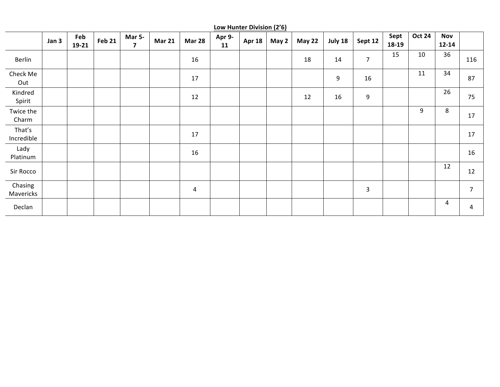|                      | Jan 3 | Feb<br>$19-21$ | <b>Feb 21</b> | Mar 5-<br>$\overline{\mathbf{z}}$ | <b>Mar 21</b> | <b>Mar 28</b> | Apr 9-<br>11 | <b>Apr 18</b> | May 2 | <b>May 22</b> | July 18 | Sept 12        | Sept<br>18-19 | <b>Oct 24</b> | <b>Nov</b><br>$12 - 14$ |                |
|----------------------|-------|----------------|---------------|-----------------------------------|---------------|---------------|--------------|---------------|-------|---------------|---------|----------------|---------------|---------------|-------------------------|----------------|
| Berlin               |       |                |               |                                   |               | 16            |              |               |       | 18            | 14      | $\overline{7}$ | 15            | 10            | 36                      | 116            |
| Check Me<br>Out      |       |                |               |                                   |               | 17            |              |               |       |               | 9       | 16             |               | 11            | 34                      | 87             |
| Kindred<br>Spirit    |       |                |               |                                   |               | 12            |              |               |       | 12            | 16      | 9              |               |               | 26                      | 75             |
| Twice the<br>Charm   |       |                |               |                                   |               |               |              |               |       |               |         |                |               | 9             | 8                       | 17             |
| That's<br>Incredible |       |                |               |                                   |               | 17            |              |               |       |               |         |                |               |               |                         | 17             |
| Lady<br>Platinum     |       |                |               |                                   |               | 16            |              |               |       |               |         |                |               |               |                         | 16             |
| Sir Rocco            |       |                |               |                                   |               |               |              |               |       |               |         |                |               |               | 12                      | 12             |
| Chasing<br>Mavericks |       |                |               |                                   |               | 4             |              |               |       |               |         | $\overline{3}$ |               |               |                         | $\overline{7}$ |
| Declan               |       |                |               |                                   |               |               |              |               |       |               |         |                |               |               | 4                       | 4              |

**Low Hunter Division (2'6)**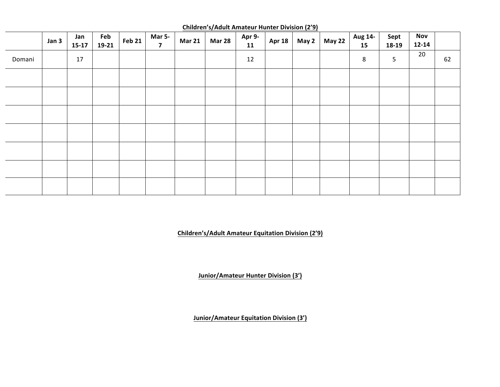|        |       |                |              |        |                                          |               | $\frac{1}{2}$ |              |        |       |               |               |                 |                         |    |
|--------|-------|----------------|--------------|--------|------------------------------------------|---------------|---------------|--------------|--------|-------|---------------|---------------|-----------------|-------------------------|----|
|        | Jan 3 | Jan<br>$15-17$ | Feb<br>19-21 | Feb 21 | <b>Mar 5-</b><br>$\overline{\mathbf{z}}$ | <b>Mar 21</b> | <b>Mar 28</b> | Apr 9-<br>11 | Apr 18 | May 2 | <b>May 22</b> | Aug 14-<br>15 | Sept<br>18-19   | <b>Nov</b><br>$12 - 14$ |    |
| Domani |       | 17             |              |        |                                          |               |               | 12           |        |       |               | 8             | $5\phantom{.0}$ | $20\degree$             | 62 |
|        |       |                |              |        |                                          |               |               |              |        |       |               |               |                 |                         |    |
|        |       |                |              |        |                                          |               |               |              |        |       |               |               |                 |                         |    |
|        |       |                |              |        |                                          |               |               |              |        |       |               |               |                 |                         |    |
|        |       |                |              |        |                                          |               |               |              |        |       |               |               |                 |                         |    |
|        |       |                |              |        |                                          |               |               |              |        |       |               |               |                 |                         |    |
|        |       |                |              |        |                                          |               |               |              |        |       |               |               |                 |                         |    |
|        |       |                |              |        |                                          |               |               |              |        |       |               |               |                 |                         |    |

**Children's/Adult Amateur Hunter Division (2'9)** 

**Children's/Adult Amateur Equitation Division (2'9)** 

**Junior/Amateur Hunter Division (3')** 

**Junior/Amateur Equitation Division (3')**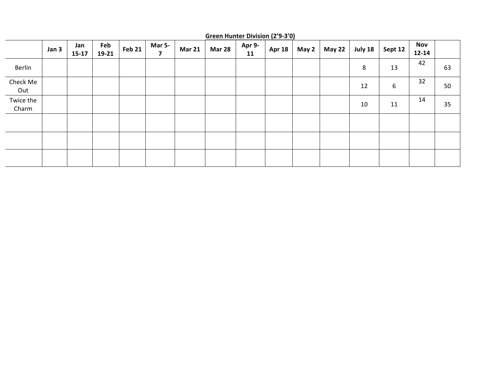|                    | Jan 3 | Jan<br>$15 - 17$ | Feb<br>19-21 | <b>Feb 21</b> | <b>Mar 5-</b><br>7 | <b>Mar 21</b> | <b>Mar 28</b> | Apr 9-<br>11 | <b>Apr 18</b> | May 2 | <b>May 22</b> | July 18 | Sept 12 | <b>Nov</b><br>$12 - 14$ |    |
|--------------------|-------|------------------|--------------|---------------|--------------------|---------------|---------------|--------------|---------------|-------|---------------|---------|---------|-------------------------|----|
| Berlin             |       |                  |              |               |                    |               |               |              |               |       |               | 8       | 13      | 42                      | 63 |
| Check Me<br>Out    |       |                  |              |               |                    |               |               |              |               |       |               | 12      | 6       | 32                      | 50 |
| Twice the<br>Charm |       |                  |              |               |                    |               |               |              |               |       |               | 10      | 11      | 14                      | 35 |
|                    |       |                  |              |               |                    |               |               |              |               |       |               |         |         |                         |    |
|                    |       |                  |              |               |                    |               |               |              |               |       |               |         |         |                         |    |
|                    |       |                  |              |               |                    |               |               |              |               |       |               |         |         |                         |    |

**Green Hunter Division (2'9-3'0)**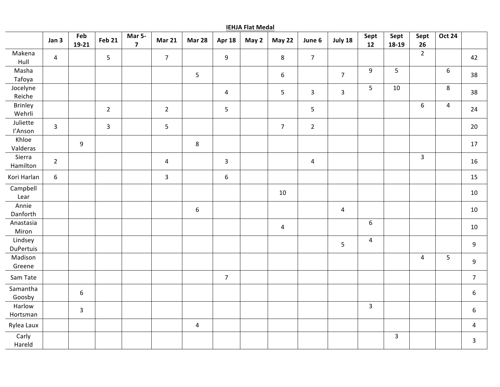|                             | Jan 3            | Feb<br>19-21     | <b>Feb 21</b>  | Mar 5-<br>$\overline{7}$ | <b>Mar 21</b>  | <b>Mar 28</b>    | Apr 18                  | May 2 | <b>May 22</b>  | June 6         | July 18        | Sept<br>12       | Sept<br>18-19 | Sept<br>26     | <b>Oct 24</b>  |                  |
|-----------------------------|------------------|------------------|----------------|--------------------------|----------------|------------------|-------------------------|-------|----------------|----------------|----------------|------------------|---------------|----------------|----------------|------------------|
| Makena<br>Hull              | $\overline{4}$   |                  | 5              |                          | 7 <sup>7</sup> |                  | $\boldsymbol{9}$        |       | 8              | $\overline{7}$ |                |                  |               | $\overline{2}$ |                | 42               |
| Masha<br>Tafoya             |                  |                  |                |                          |                | 5                |                         |       | 6              |                | $\overline{7}$ | 9                | 5             |                | $\sqrt{6}$     | 38               |
| Jocelyne<br>Reiche          |                  |                  |                |                          |                |                  | $\overline{\mathbf{4}}$ |       | 5              | $\mathbf{3}$   | $\mathbf{3}$   | 5                | $10\,$        |                | 8              | 38               |
| <b>Brinley</b><br>Wehrli    |                  |                  | $\overline{2}$ |                          | $\overline{2}$ |                  | 5                       |       |                | $\overline{5}$ |                |                  |               | 6              | $\overline{4}$ | 24               |
| Juliette<br>l'Anson         | $\overline{3}$   |                  | $\overline{3}$ |                          | 5              |                  |                         |       | $\overline{7}$ | $\overline{2}$ |                |                  |               |                |                | 20               |
| Khloe<br>Valderas           |                  | 9                |                |                          |                | 8                |                         |       |                |                |                |                  |               |                |                | 17               |
| Sierra<br>Hamilton          | $\overline{2}$   |                  |                |                          | $\overline{4}$ |                  | $\mathsf{3}$            |       |                | $\sqrt{4}$     |                |                  |               | $\overline{3}$ |                | 16               |
| Kori Harlan                 | $\boldsymbol{6}$ |                  |                |                          | $\mathbf{3}$   |                  | $\boldsymbol{6}$        |       |                |                |                |                  |               |                |                | 15               |
| Campbell<br>Lear            |                  |                  |                |                          |                |                  |                         |       | 10             |                |                |                  |               |                |                | 10               |
| Annie<br>Danforth           |                  |                  |                |                          |                | $\boldsymbol{6}$ |                         |       |                |                | $\pmb{4}$      |                  |               |                |                | 10               |
| Anastasia<br>Miron          |                  |                  |                |                          |                |                  |                         |       | 4              |                |                | $\boldsymbol{6}$ |               |                |                | 10               |
| Lindsey<br><b>DuPertuis</b> |                  |                  |                |                          |                |                  |                         |       |                |                | 5              | $\overline{4}$   |               |                |                | 9                |
| Madison<br>Greene           |                  |                  |                |                          |                |                  |                         |       |                |                |                |                  |               | $\overline{4}$ | 5              | 9                |
| Sam Tate                    |                  |                  |                |                          |                |                  | $\overline{7}$          |       |                |                |                |                  |               |                |                | $\overline{7}$   |
| Samantha<br>Goosby          |                  | $\boldsymbol{6}$ |                |                          |                |                  |                         |       |                |                |                |                  |               |                |                | 6                |
| Harlow<br>Hortsman          |                  | $\overline{3}$   |                |                          |                |                  |                         |       |                |                |                | $\overline{3}$   |               |                |                | $\boldsymbol{6}$ |
| Rylea Laux                  |                  |                  |                |                          |                | $\overline{4}$   |                         |       |                |                |                |                  |               |                |                | $\overline{4}$   |
| Carly<br>Hareld             |                  |                  |                |                          |                |                  |                         |       |                |                |                |                  | $\mathbf{3}$  |                |                | $\mathbf{3}$     |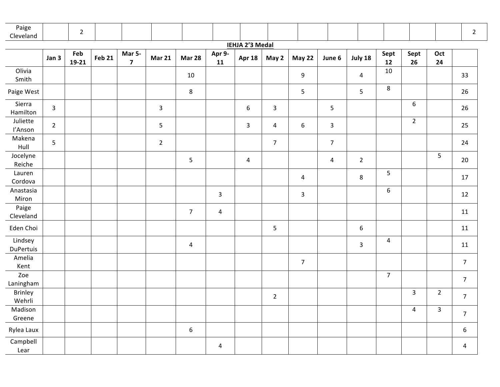| Paige<br>Cleveland   |              | $\overline{2}$ |               |                                   |                |                  |                         |                        |                         |                  |                |                         |                  |                |                | $\overline{2}$          |
|----------------------|--------------|----------------|---------------|-----------------------------------|----------------|------------------|-------------------------|------------------------|-------------------------|------------------|----------------|-------------------------|------------------|----------------|----------------|-------------------------|
|                      |              |                |               |                                   |                |                  |                         | <b>IEHJA 2'3 Medal</b> |                         |                  |                |                         |                  |                |                |                         |
|                      | Jan 3        | Feb<br>19-21   | <b>Feb 21</b> | Mar 5-<br>$\overline{\mathbf{z}}$ | <b>Mar 21</b>  | <b>Mar 28</b>    | Apr 9-<br>11            | <b>Apr 18</b>          | May 2                   | May 22           | June 6         | July 18                 | Sept<br>12       | Sept<br>26     | Oct<br>24      |                         |
| Olivia<br>Smith      |              |                |               |                                   |                | $10\,$           |                         |                        |                         | 9                |                | $\overline{\mathbf{4}}$ | 10               |                |                | 33                      |
| Paige West           |              |                |               |                                   |                | $\bf 8$          |                         |                        |                         | 5                |                | 5                       | $\,8\,$          |                |                | 26                      |
| Sierra<br>Hamilton   | $\mathbf{3}$ |                |               |                                   | $\overline{3}$ |                  |                         | $\boldsymbol{6}$       | $\mathsf{3}$            |                  | 5              |                         |                  | 6              |                | 26                      |
| Juliette<br>l'Anson  | $2^{\circ}$  |                |               |                                   | $5\phantom{.}$ |                  |                         | $\mathbf{3}$           | $\overline{\mathbf{4}}$ | $\boldsymbol{6}$ | $\mathbf{3}$   |                         |                  | $\overline{2}$ |                | 25                      |
| Makena<br>Hull       | 5            |                |               |                                   | $\overline{2}$ |                  |                         |                        | $\overline{7}$          |                  | $\overline{7}$ |                         |                  |                |                | 24                      |
| Jocelyne<br>Reiche   |              |                |               |                                   |                | 5                |                         | $\overline{4}$         |                         |                  | 4              | $\overline{2}$          |                  |                | $\overline{5}$ | 20                      |
| Lauren<br>Cordova    |              |                |               |                                   |                |                  |                         |                        |                         | 4                |                | $\,8\,$                 | $\sqrt{5}$       |                |                | 17                      |
| Anastasia<br>Miron   |              |                |               |                                   |                |                  | $\mathbf{3}$            |                        |                         | $\mathbf{3}$     |                |                         | $\boldsymbol{6}$ |                |                | 12                      |
| Paige<br>Cleveland   |              |                |               |                                   |                | $\overline{7}$   | $\overline{\mathbf{4}}$ |                        |                         |                  |                |                         |                  |                |                | 11                      |
| Eden Choi            |              |                |               |                                   |                |                  |                         |                        | 5                       |                  |                | $\boldsymbol{6}$        |                  |                |                | 11                      |
| Lindsey<br>DuPertuis |              |                |               |                                   |                | 4                |                         |                        |                         |                  |                | $\mathbf{3}$            | 4                |                |                | $11\,$                  |
| Amelia<br>Kent       |              |                |               |                                   |                |                  |                         |                        |                         | $\overline{7}$   |                |                         |                  |                |                | $\overline{7}$          |
| Zoe<br>Laningham     |              |                |               |                                   |                |                  |                         |                        |                         |                  |                |                         | $\boldsymbol{7}$ |                |                | $\overline{7}$          |
| Brinley<br>Wehrli    |              |                |               |                                   |                |                  |                         |                        | $\overline{2}$          |                  |                |                         |                  | $\overline{3}$ | $\sqrt{2}$     | $\overline{7}$          |
| Madison<br>Greene    |              |                |               |                                   |                |                  |                         |                        |                         |                  |                |                         |                  | $\overline{4}$ | $\overline{3}$ | $\overline{7}$          |
| Rylea Laux           |              |                |               |                                   |                | $\boldsymbol{6}$ |                         |                        |                         |                  |                |                         |                  |                |                | $\boldsymbol{6}$        |
| Campbell<br>Lear     |              |                |               |                                   |                |                  | $\overline{4}$          |                        |                         |                  |                |                         |                  |                |                | $\overline{\mathbf{4}}$ |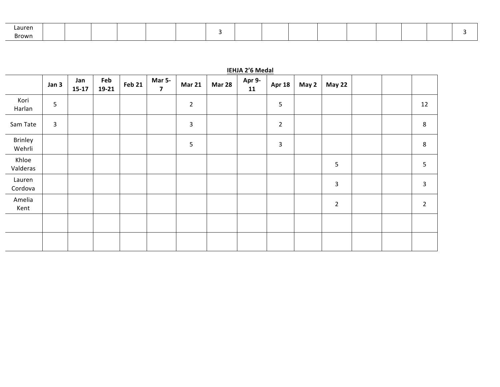| .auren |  |  |  |  |  |  |  |  |
|--------|--|--|--|--|--|--|--|--|
| Br∩wn  |  |  |  |  |  |  |  |  |

|                   | Jan 3          | Jan<br>$15 - 17$ | Feb<br>19-21 | <b>Feb 21</b> | Mar 5-<br>7 | <b>Mar 21</b>  | <b>Mar 28</b> | Apr 9-<br>11 | <b>Apr 18</b>  | May 2 | <b>May 22</b>  |  |                |
|-------------------|----------------|------------------|--------------|---------------|-------------|----------------|---------------|--------------|----------------|-------|----------------|--|----------------|
| Kori<br>Harlan    | 5              |                  |              |               |             | $\overline{2}$ |               |              | 5              |       |                |  | 12             |
| Sam Tate          | $\overline{3}$ |                  |              |               |             | 3              |               |              | $\overline{2}$ |       |                |  | 8              |
| Brinley<br>Wehrli |                |                  |              |               |             | 5              |               |              | 3              |       |                |  | $\,8\,$        |
| Khloe<br>Valderas |                |                  |              |               |             |                |               |              |                |       | 5              |  | 5              |
| Lauren<br>Cordova |                |                  |              |               |             |                |               |              |                |       | 3              |  | 3              |
| Amelia<br>Kent    |                |                  |              |               |             |                |               |              |                |       | $\overline{2}$ |  | $\overline{2}$ |
|                   |                |                  |              |               |             |                |               |              |                |       |                |  |                |
|                   |                |                  |              |               |             |                |               |              |                |       |                |  |                |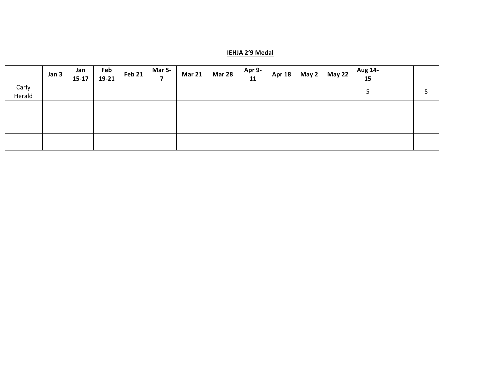#### **IEHJA 2'9 Medal**

|                 | Jan 3 | Jan<br>$15 - 17$ | Feb<br>19-21 | <b>Feb 21</b> | <b>Mar 5-</b> | <b>Mar 21</b> | <b>Mar 28</b> | Apr 9-<br>11 | Apr 18 | May 2   May 22 | Aug 14-<br>15 |  |
|-----------------|-------|------------------|--------------|---------------|---------------|---------------|---------------|--------------|--------|----------------|---------------|--|
| Carly<br>Herald |       |                  |              |               |               |               |               |              |        |                |               |  |
|                 |       |                  |              |               |               |               |               |              |        |                |               |  |
|                 |       |                  |              |               |               |               |               |              |        |                |               |  |
|                 |       |                  |              |               |               |               |               |              |        |                |               |  |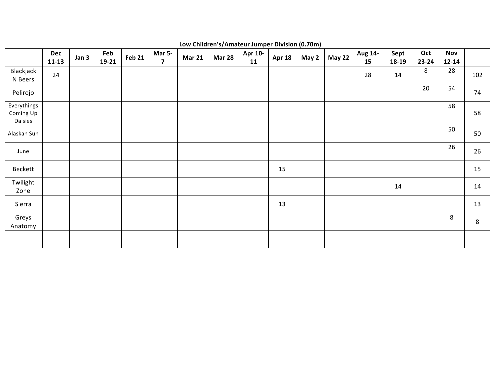|                                     | <b>Dec</b><br>$11 - 13$ | Jan 3 | Feb<br>19-21 | <b>Feb 21</b> | Mar 5-<br>$\overline{\mathbf{z}}$ | <b>Mar 21</b> | <b>Mar 28</b> | Apr 10-<br>11 | <b>Apr 18</b> | May 2 | <b>May 22</b> | Aug 14-<br>15 | Sept<br>18-19 | Oct<br>23-24 | <b>Nov</b><br>$12 - 14$ |     |
|-------------------------------------|-------------------------|-------|--------------|---------------|-----------------------------------|---------------|---------------|---------------|---------------|-------|---------------|---------------|---------------|--------------|-------------------------|-----|
| Blackjack<br>N Beers                | 24                      |       |              |               |                                   |               |               |               |               |       |               | 28            | 14            | 8            | 28                      | 102 |
| Pelirojo                            |                         |       |              |               |                                   |               |               |               |               |       |               |               |               | 20           | 54                      | 74  |
| Everythings<br>Coming Up<br>Daisies |                         |       |              |               |                                   |               |               |               |               |       |               |               |               |              | 58                      | 58  |
| Alaskan Sun                         |                         |       |              |               |                                   |               |               |               |               |       |               |               |               |              | 50                      | 50  |
| June                                |                         |       |              |               |                                   |               |               |               |               |       |               |               |               |              | 26                      | 26  |
| Beckett                             |                         |       |              |               |                                   |               |               |               | 15            |       |               |               |               |              |                         | 15  |
| Twilight<br>Zone                    |                         |       |              |               |                                   |               |               |               |               |       |               |               | 14            |              |                         | 14  |
| Sierra                              |                         |       |              |               |                                   |               |               |               | 13            |       |               |               |               |              |                         | 13  |
| Greys<br>Anatomy                    |                         |       |              |               |                                   |               |               |               |               |       |               |               |               |              | 8                       | 8   |
|                                     |                         |       |              |               |                                   |               |               |               |               |       |               |               |               |              |                         |     |

Low Children's/Amateur Jumper Division (0.70m)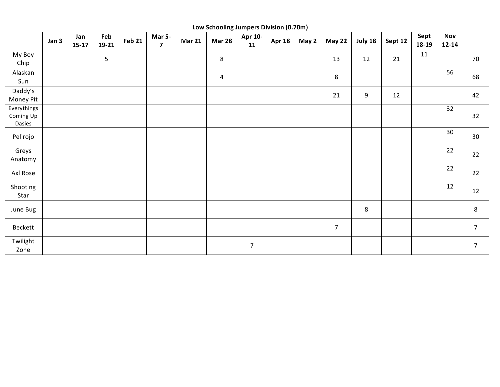**Low Schooling Jumpers Division (0.70m)**

|                                    | Jan 3 | Jan<br>$15-17$ | Feb<br>19-21 | <b>Feb 21</b> | Mar 5-<br>$\overline{\mathbf{z}}$ | <b>Mar 21</b> | <u>Edw seriouring sumpers Brusion (6.7 0117</u><br><b>Mar 28</b> | Apr 10-<br>11  | <b>Apr 18</b> | May 2 | <b>May 22</b>  | July 18 | Sept 12 | Sept<br>18-19 | <b>Nov</b><br>$12 - 14$ |                 |
|------------------------------------|-------|----------------|--------------|---------------|-----------------------------------|---------------|------------------------------------------------------------------|----------------|---------------|-------|----------------|---------|---------|---------------|-------------------------|-----------------|
| My Boy<br>Chip                     |       |                | 5            |               |                                   |               | 8                                                                |                |               |       | 13             | 12      | 21      | 11            |                         | 70              |
| Alaskan<br>Sun                     |       |                |              |               |                                   |               | $\overline{4}$                                                   |                |               |       | $\bf 8$        |         |         |               | 56                      | 68              |
| Daddy's<br>Money Pit               |       |                |              |               |                                   |               |                                                                  |                |               |       | 21             | 9       | 12      |               |                         | 42              |
| Everythings<br>Coming Up<br>Dasies |       |                |              |               |                                   |               |                                                                  |                |               |       |                |         |         |               | 32                      | 32              |
| Pelirojo                           |       |                |              |               |                                   |               |                                                                  |                |               |       |                |         |         |               | 30                      | 30 <sup>°</sup> |
| Greys<br>Anatomy                   |       |                |              |               |                                   |               |                                                                  |                |               |       |                |         |         |               | 22                      | 22              |
| Axl Rose                           |       |                |              |               |                                   |               |                                                                  |                |               |       |                |         |         |               | 22                      | 22              |
| Shooting<br>Star                   |       |                |              |               |                                   |               |                                                                  |                |               |       |                |         |         |               | 12                      | 12              |
| June Bug                           |       |                |              |               |                                   |               |                                                                  |                |               |       |                | 8       |         |               |                         | 8               |
| Beckett                            |       |                |              |               |                                   |               |                                                                  |                |               |       | $\overline{7}$ |         |         |               |                         | $\overline{7}$  |
| Twilight<br>Zone                   |       |                |              |               |                                   |               |                                                                  | $\overline{7}$ |               |       |                |         |         |               |                         | $\overline{7}$  |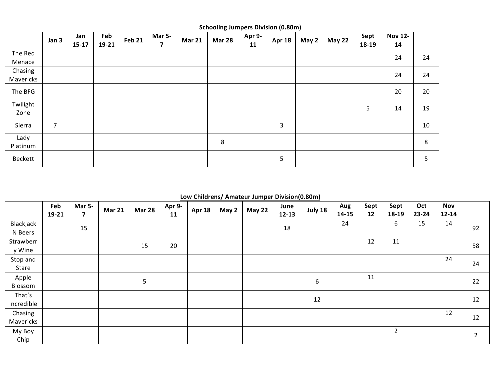|                      | Jan 3 | Jan<br>$15 - 17$ | Feb<br>19-21 | <b>Feb 21</b> | <b>Mar 5-</b><br>7 | <b>Mar 21</b> | <b>Mar 28</b> | Apr 9-<br>11 | <b>Apr 18</b> | May 2 | <b>May 22</b> | Sept<br>18-19 | <b>Nov 12-</b><br>14 |    |
|----------------------|-------|------------------|--------------|---------------|--------------------|---------------|---------------|--------------|---------------|-------|---------------|---------------|----------------------|----|
| The Red<br>Menace    |       |                  |              |               |                    |               |               |              |               |       |               |               | 24                   | 24 |
| Chasing<br>Mavericks |       |                  |              |               |                    |               |               |              |               |       |               |               | 24                   | 24 |
| The BFG              |       |                  |              |               |                    |               |               |              |               |       |               |               | 20                   | 20 |
| Twilight<br>Zone     |       |                  |              |               |                    |               |               |              |               |       |               | 5             | 14                   | 19 |
| Sierra               | 7     |                  |              |               |                    |               |               |              | 3             |       |               |               |                      | 10 |
| Lady<br>Platinum     |       |                  |              |               |                    |               | 8             |              |               |       |               |               |                      | 8  |
| Beckett              |       |                  |              |               |                    |               |               |              | 5             |       |               |               |                      | 5  |

**Schooling Jumpers Division (0.80m)** 

**Low Childrens/ Amateur Jumper Division(0.80m)**

|            | Feb   | <b>Mar 5-</b>  | <b>Mar 21</b> | <b>Mar 28</b> | Apr 9- | <b>Apr 18</b> | May 2 | <b>May 22</b> | June      | July 18 | Aug       | Sept | Sept           | Oct       | <b>Nov</b> |                |
|------------|-------|----------------|---------------|---------------|--------|---------------|-------|---------------|-----------|---------|-----------|------|----------------|-----------|------------|----------------|
|            | 19-21 | $\overline{7}$ |               |               | 11     |               |       |               | $12 - 13$ |         | $14 - 15$ | 12   | 18-19          | $23 - 24$ | $12 - 14$  |                |
| Blackjack  |       | 15             |               |               |        |               |       |               | 18        |         | 24        |      | 6              | 15        | 14         | 92             |
| N Beers    |       |                |               |               |        |               |       |               |           |         |           |      |                |           |            |                |
| Strawberr  |       |                |               |               |        |               |       |               |           |         |           | 12   | 11             |           |            |                |
| y Wine     |       |                |               | 15            | 20     |               |       |               |           |         |           |      |                |           |            | 58             |
| Stop and   |       |                |               |               |        |               |       |               |           |         |           |      |                |           | 24         |                |
| Stare      |       |                |               |               |        |               |       |               |           |         |           |      |                |           |            | 24             |
| Apple      |       |                |               |               |        |               |       |               |           |         |           | 11   |                |           |            |                |
| Blossom    |       |                |               | 5             |        |               |       |               |           | 6       |           |      |                |           |            | 22             |
| That's     |       |                |               |               |        |               |       |               |           |         |           |      |                |           |            |                |
| Incredible |       |                |               |               |        |               |       |               |           | 12      |           |      |                |           |            | 12             |
| Chasing    |       |                |               |               |        |               |       |               |           |         |           |      |                |           | 12         |                |
| Mavericks  |       |                |               |               |        |               |       |               |           |         |           |      |                |           |            | 12             |
| My Boy     |       |                |               |               |        |               |       |               |           |         |           |      | $\overline{2}$ |           |            |                |
| Chip       |       |                |               |               |        |               |       |               |           |         |           |      |                |           |            | $\overline{2}$ |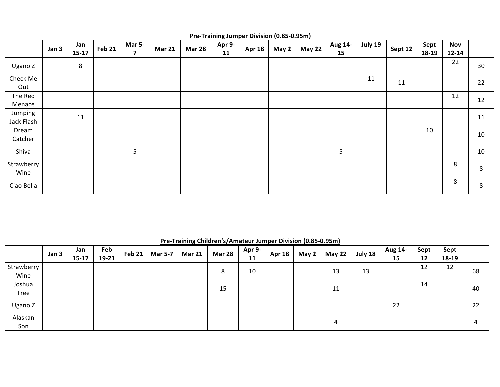|                       | Jan 3 | Jan<br>$15 - 17$ | Feb 21 | <b>Mar 5-</b><br>$\overline{7}$ | <b>Mar 21</b> | <b>Mar 28</b> | Apr 9-<br>11 | <b>Apr 18</b> | May 2 | <b>May 22</b> | Aug 14-<br>15 | July 19 | Sept 12 | Sept<br>18-19 | <b>Nov</b><br>$12 - 14$ |    |
|-----------------------|-------|------------------|--------|---------------------------------|---------------|---------------|--------------|---------------|-------|---------------|---------------|---------|---------|---------------|-------------------------|----|
| Ugano Z               |       | 8                |        |                                 |               |               |              |               |       |               |               |         |         |               | 22                      | 30 |
| Check Me<br>Out       |       |                  |        |                                 |               |               |              |               |       |               |               | 11      | 11      |               |                         | 22 |
| The Red<br>Menace     |       |                  |        |                                 |               |               |              |               |       |               |               |         |         |               | 12                      | 12 |
| Jumping<br>Jack Flash |       | 11               |        |                                 |               |               |              |               |       |               |               |         |         |               |                         | 11 |
| Dream<br>Catcher      |       |                  |        |                                 |               |               |              |               |       |               |               |         |         | 10            |                         | 10 |
| Shiva                 |       |                  |        | 5                               |               |               |              |               |       |               | 5             |         |         |               |                         | 10 |
| Strawberry<br>Wine    |       |                  |        |                                 |               |               |              |               |       |               |               |         |         |               | 8                       | 8  |
| Ciao Bella            |       |                  |        |                                 |               |               |              |               |       |               |               |         |         |               | 8                       | 8  |

### **Pre-Training Jumper Division (0.85-0.95m)**

**Pre-Training Children's/Amateur Jumper Division (0.85-0.95m)** 

|                    | Jan 3 | Jan<br>$15 - 17$ | Feb<br>19-21 | Feb 21 $ $ | <b>Mar 5-7</b> | <b>Mar 21</b> | <b>Mar 28</b> | Apr 9-<br>11 | <b>Apr 18</b> | May 2 | <b>May 22</b> | July 18 | Aug 14-<br>15 | Sept<br>12 | Sept<br>18-19 |    |
|--------------------|-------|------------------|--------------|------------|----------------|---------------|---------------|--------------|---------------|-------|---------------|---------|---------------|------------|---------------|----|
| Strawberry<br>Wine |       |                  |              |            |                |               | 8             | 10           |               |       | 13            | 13      |               | 12         | 12            | 68 |
| Joshua<br>Tree     |       |                  |              |            |                |               | 15            |              |               |       | 11            |         |               | 14         |               | 40 |
| Ugano Z            |       |                  |              |            |                |               |               |              |               |       |               |         | 22            |            |               | 22 |
| Alaskan<br>Son     |       |                  |              |            |                |               |               |              |               |       | 4             |         |               |            |               | 4  |